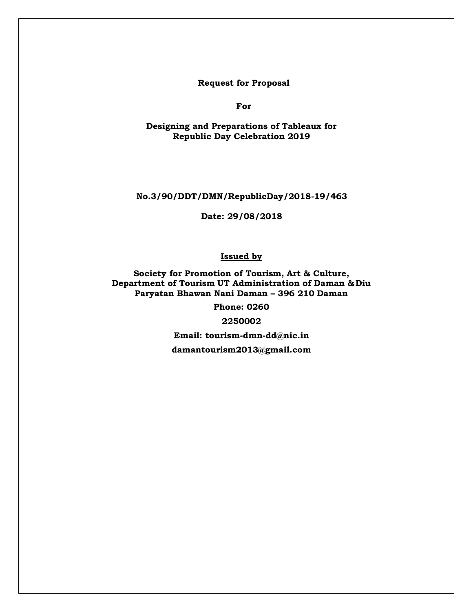**Request for Proposal** 

**For**

**Designing and Preparations of Tableaux for Republic Day Celebration 2019**

**No.3/90/DDT/DMN/RepublicDay/2018-19/463**

**Date: 29/08/2018**

**Issued by**

**Society for Promotion of Tourism, Art & Culture, Department of Tourism UT Administration of Daman &Diu Paryatan Bhawan Nani Daman – 396 210 Daman**

**Phone: 0260** 

**2250002**

**Email: [tourism-dmn-dd@nic.in](mailto:tourism-dmn-dd@nic.in)**

**damantourism2013@gmail.com**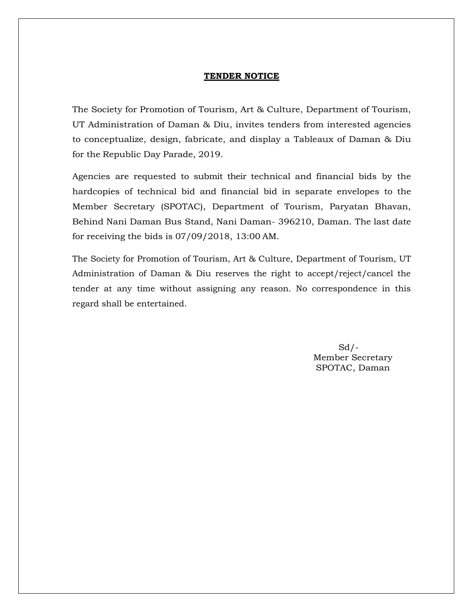#### **TENDER NOTICE**

The Society for Promotion of Tourism, Art & Culture, Department of Tourism, UT Administration of Daman & Diu, invites tenders from interested agencies to conceptualize, design, fabricate, and display a Tableaux of Daman & Diu for the Republic Day Parade, 2019.

Agencies are requested to submit their technical and financial bids by the hardcopies of technical bid and financial bid in separate envelopes to the Member Secretary (SPOTAC), Department of Tourism, Paryatan Bhavan, Behind Nani Daman Bus Stand, Nani Daman- 396210, Daman. The last date for receiving the bids is 07/09/2018, 13:00 AM.

The Society for Promotion of Tourism, Art & Culture, Department of Tourism, UT Administration of Daman & Diu reserves the right to accept/reject/cancel the tender at any time without assigning any reason. No correspondence in this regard shall be entertained.

> Sd/- Member Secretary SPOTAC, Daman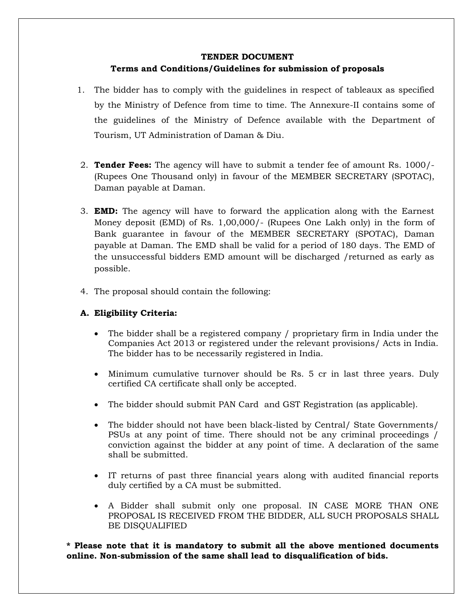#### **TENDER DOCUMENT**

## **Terms and Conditions/Guidelines for submission of proposals**

- 1. The bidder has to comply with the guidelines in respect of tableaux as specified by the Ministry of Defence from time to time. The Annexure-II contains some of the guidelines of the Ministry of Defence available with the Department of Tourism, UT Administration of Daman & Diu.
- 2. **Tender Fees:** The agency will have to submit a tender fee of amount Rs. 1000/- (Rupees One Thousand only) in favour of the MEMBER SECRETARY (SPOTAC), Daman payable at Daman.
- 3. **EMD:** The agency will have to forward the application along with the Earnest Money deposit (EMD) of Rs. 1,00,000/- (Rupees One Lakh only) in the form of Bank guarantee in favour of the MEMBER SECRETARY (SPOTAC), Daman payable at Daman. The EMD shall be valid for a period of 180 days. The EMD of the unsuccessful bidders EMD amount will be discharged /returned as early as possible.
- 4. The proposal should contain the following:

## **A. Eligibility Criteria:**

- The bidder shall be a registered company / proprietary firm in India under the Companies Act 2013 or registered under the relevant provisions/ Acts in India. The bidder has to be necessarily registered in India.
- Minimum cumulative turnover should be Rs. 5 cr in last three years. Duly certified CA certificate shall only be accepted.
- The bidder should submit PAN Card and GST Registration (as applicable).
- The bidder should not have been black-listed by Central/ State Governments/ PSUs at any point of time. There should not be any criminal proceedings / conviction against the bidder at any point of time. A declaration of the same shall be submitted.
- IT returns of past three financial years along with audited financial reports duly certified by a CA must be submitted.
- A Bidder shall submit only one proposal. IN CASE MORE THAN ONE PROPOSAL IS RECEIVED FROM THE BIDDER, ALL SUCH PROPOSALS SHALL BE DISQUALIFIED

**\* Please note that it is mandatory to submit all the above mentioned documents online. Non-submission of the same shall lead to disqualification of bids.**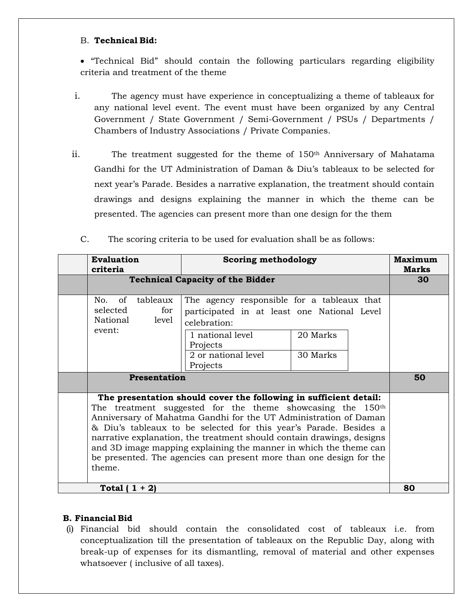## B. **Technical Bid:**

 "Technical Bid" should contain the following particulars regarding eligibility criteria and treatment of the theme

- i. The agency must have experience in conceptualizing a theme of tableaux for any national level event. The event must have been organized by any Central Government / State Government / Semi-Government / PSUs / Departments / Chambers of Industry Associations / Private Companies.
- ii. The treatment suggested for the theme of 150th Anniversary of Mahatama Gandhi for the UT Administration of Daman & Diu's tableaux to be selected for next year's Parade. Besides a narrative explanation, the treatment should contain drawings and designs explaining the manner in which the theme can be presented. The agencies can present more than one design for the them

|                 | <b>Evaluation</b><br>criteria                                                                                                                                                                                                                                                                                                                                                                                                                                                                                       |                          | Scoring methodology                                                                                                                                                          |                      | Maximum<br><b>Marks</b> |    |
|-----------------|---------------------------------------------------------------------------------------------------------------------------------------------------------------------------------------------------------------------------------------------------------------------------------------------------------------------------------------------------------------------------------------------------------------------------------------------------------------------------------------------------------------------|--------------------------|------------------------------------------------------------------------------------------------------------------------------------------------------------------------------|----------------------|-------------------------|----|
|                 | <b>Technical Capacity of the Bidder</b>                                                                                                                                                                                                                                                                                                                                                                                                                                                                             |                          |                                                                                                                                                                              |                      | 30                      |    |
|                 | of<br>No.<br>selected<br>National<br>event:                                                                                                                                                                                                                                                                                                                                                                                                                                                                         | tableaux<br>for<br>level | The agency responsible for a tableaux that<br>participated in at least one National Level<br>celebration:<br>1 national level<br>Projects<br>2 or national level<br>Projects | 20 Marks<br>30 Marks |                         |    |
|                 |                                                                                                                                                                                                                                                                                                                                                                                                                                                                                                                     | Presentation             |                                                                                                                                                                              |                      |                         | 50 |
|                 | The presentation should cover the following in sufficient detail:<br>The treatment suggested for the theme showcasing the 150 <sup>th</sup><br>Anniversary of Mahatma Gandhi for the UT Administration of Daman<br>& Diu's tableaux to be selected for this year's Parade. Besides a<br>narrative explanation, the treatment should contain drawings, designs<br>and 3D image mapping explaining the manner in which the theme can<br>be presented. The agencies can present more than one design for the<br>theme. |                          |                                                                                                                                                                              |                      |                         |    |
| Total $(1 + 2)$ |                                                                                                                                                                                                                                                                                                                                                                                                                                                                                                                     |                          |                                                                                                                                                                              | 80                   |                         |    |

C. The scoring criteria to be used for evaluation shall be as follows:

## **B. Financial Bid**

(i) Financial bid should contain the consolidated cost of tableaux i.e. from conceptualization till the presentation of tableaux on the Republic Day, along with break-up of expenses for its dismantling, removal of material and other expenses whatsoever ( inclusive of all taxes).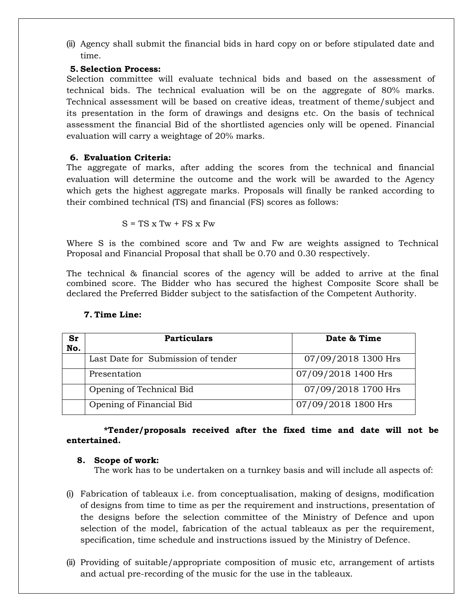(ii) Agency shall submit the financial bids in hard copy on or before stipulated date and time.

## **5. Selection Process:**

Selection committee will evaluate technical bids and based on the assessment of technical bids. The technical evaluation will be on the aggregate of 80% marks. Technical assessment will be based on creative ideas, treatment of theme/subject and its presentation in the form of drawings and designs etc. On the basis of technical assessment the financial Bid of the shortlisted agencies only will be opened. Financial evaluation will carry a weightage of 20% marks.

## **6. Evaluation Criteria:**

The aggregate of marks, after adding the scores from the technical and financial evaluation will determine the outcome and the work will be awarded to the Agency which gets the highest aggregate marks. Proposals will finally be ranked according to their combined technical (TS) and financial (FS) scores as follows:

$$
S = TS \times Tw + FS \times Fw
$$

Where S is the combined score and Tw and Fw are weights assigned to Technical Proposal and Financial Proposal that shall be 0.70 and 0.30 respectively.

The technical & financial scores of the agency will be added to arrive at the final combined score. The Bidder who has secured the highest Composite Score shall be declared the Preferred Bidder subject to the satisfaction of the Competent Authority.

| Sr  | <b>Particulars</b>                 | Date & Time         |
|-----|------------------------------------|---------------------|
| No. |                                    |                     |
|     | Last Date for Submission of tender | 07/09/2018 1300 Hrs |
|     | Presentation                       | 07/09/2018 1400 Hrs |
|     | Opening of Technical Bid           | 07/09/2018 1700 Hrs |
|     | Opening of Financial Bid           | 07/09/2018 1800 Hrs |

## **7. Time Line:**

 **\*Tender/proposals received after the fixed time and date will not be entertained.**

## **8. Scope of work:**

The work has to be undertaken on a turnkey basis and will include all aspects of:

- (i) Fabrication of tableaux i.e. from conceptualisation, making of designs, modification of designs from time to time as per the requirement and instructions, presentation of the designs before the selection committee of the Ministry of Defence and upon selection of the model, fabrication of the actual tableaux as per the requirement, specification, time schedule and instructions issued by the Ministry of Defence.
- (ii) Providing of suitable/appropriate composition of music etc, arrangement of artists and actual pre-recording of the music for the use in the tableaux.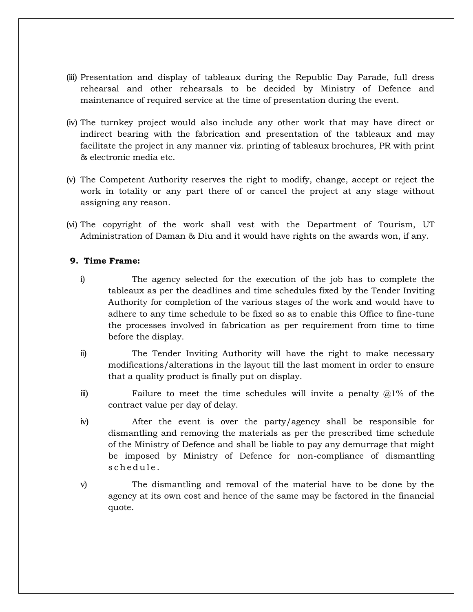- (iii) Presentation and display of tableaux during the Republic Day Parade, full dress rehearsal and other rehearsals to be decided by Ministry of Defence and maintenance of required service at the time of presentation during the event.
- (iv) The turnkey project would also include any other work that may have direct or indirect bearing with the fabrication and presentation of the tableaux and may facilitate the project in any manner viz. printing of tableaux brochures, PR with print & electronic media etc.
- (v) The Competent Authority reserves the right to modify, change, accept or reject the work in totality or any part there of or cancel the project at any stage without assigning any reason.
- (vi) The copyright of the work shall vest with the Department of Tourism, UT Administration of Daman & Diu and it would have rights on the awards won, if any.

## **9. Time Frame:**

- i) The agency selected for the execution of the job has to complete the tableaux as per the deadlines and time schedules fixed by the Tender Inviting Authority for completion of the various stages of the work and would have to adhere to any time schedule to be fixed so as to enable this Office to fine-tune the processes involved in fabrication as per requirement from time to time before the display.
- ii) The Tender Inviting Authority will have the right to make necessary modifications/alterations in the layout till the last moment in order to ensure that a quality product is finally put on display.
- iii) Failure to meet the time schedules will invite a penalty  $\omega/2\%$  of the contract value per day of delay.
- iv) After the event is over the party/agency shall be responsible for dismantling and removing the materials as per the prescribed time schedule of the Ministry of Defence and shall be liable to pay any demurrage that might be imposed by Ministry of Defence for non-compliance of dismantling schedule.
- v) The dismantling and removal of the material have to be done by the agency at its own cost and hence of the same may be factored in the financial quote.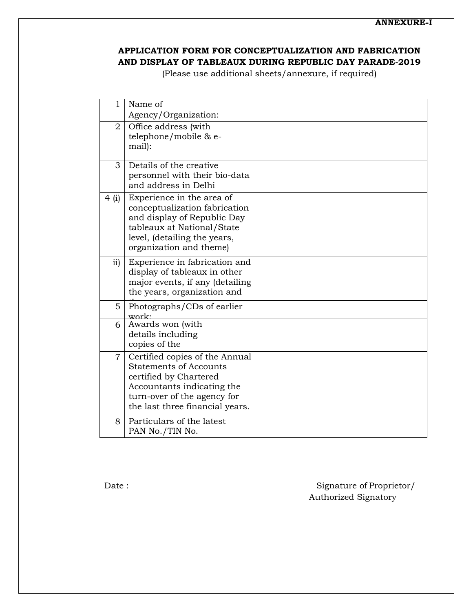# **APPLICATION FORM FOR CONCEPTUALIZATION AND FABRICATION AND DISPLAY OF TABLEAUX DURING REPUBLIC DAY PARADE-2019**

(Please use additional sheets/annexure, if required)

| $\mathbf{1}$   | Name of                                                                                                                                                                                   |  |
|----------------|-------------------------------------------------------------------------------------------------------------------------------------------------------------------------------------------|--|
|                | Agency/Organization:                                                                                                                                                                      |  |
| $\overline{2}$ | Office address (with<br>telephone/mobile & e-<br>mail):                                                                                                                                   |  |
| 3              | Details of the creative<br>personnel with their bio-data<br>and address in Delhi                                                                                                          |  |
| 4(i)           | Experience in the area of<br>conceptualization fabrication<br>and display of Republic Day<br>tableaux at National/State<br>level, (detailing the years,<br>organization and theme)        |  |
| ii)            | Experience in fabrication and<br>display of tableaux in other<br>major events, if any (detailing<br>the years, organization and                                                           |  |
| $5^{\circ}$    | Photographs/CDs of earlier<br>work:                                                                                                                                                       |  |
| 6              | Awards won (with<br>details including<br>copies of the                                                                                                                                    |  |
| $\overline{7}$ | Certified copies of the Annual<br><b>Statements of Accounts</b><br>certified by Chartered<br>Accountants indicating the<br>turn-over of the agency for<br>the last three financial years. |  |
| 8              | Particulars of the latest<br>PAN No./TIN No.                                                                                                                                              |  |

Date : Signature of Proprietor/ Authorized Signatory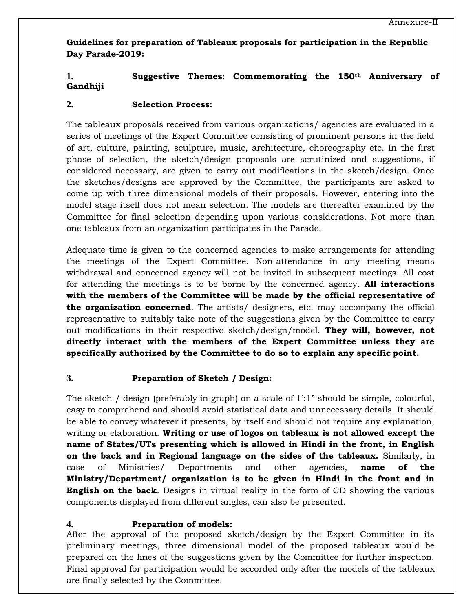**Guidelines for preparation of Tableaux proposals for participation in the Republic Day Parade-2019:**

# **1. Suggestive Themes: Commemorating the 150th Anniversary of Gandhiji**

#### **2. Selection Process:**

The tableaux proposals received from various organizations/ agencies are evaluated in a series of meetings of the Expert Committee consisting of prominent persons in the field of art, culture, painting, sculpture, music, architecture, choreography etc. In the first phase of selection, the sketch/design proposals are scrutinized and suggestions, if considered necessary, are given to carry out modifications in the sketch/design. Once the sketches/designs are approved by the Committee, the participants are asked to come up with three dimensional models of their proposals. However, entering into the model stage itself does not mean selection. The models are thereafter examined by the Committee for final selection depending upon various considerations. Not more than one tableaux from an organization participates in the Parade.

Adequate time is given to the concerned agencies to make arrangements for attending the meetings of the Expert Committee. Non-attendance in any meeting means withdrawal and concerned agency will not be invited in subsequent meetings. All cost for attending the meetings is to be borne by the concerned agency. **All interactions with the members of the Committee will be made by the official representative of the organization concerned**. The artists/ designers, etc. may accompany the official representative to suitably take note of the suggestions given by the Committee to carry out modifications in their respective sketch/design/model. **They will, however, not directly interact with the members of the Expert Committee unless they are specifically authorized by the Committee to do so to explain any specific point.**

## **3. Preparation of Sketch / Design:**

The sketch / design (preferably in graph) on a scale of 1':1" should be simple, colourful, easy to comprehend and should avoid statistical data and unnecessary details. It should be able to convey whatever it presents, by itself and should not require any explanation, writing or elaboration. **Writing or use of logos on tableaux is not allowed except the name of States/UTs presenting which is allowed in Hindi in the front, in English on the back and in Regional language on the sides of the tableaux.** Similarly, in case of Ministries/ Departments and other agencies, **name of the Ministry/Department/ organization is to be given in Hindi in the front and in English on the back**. Designs in virtual reality in the form of CD showing the various components displayed from different angles, can also be presented.

#### **4. Preparation of models:**

After the approval of the proposed sketch/design by the Expert Committee in its preliminary meetings, three dimensional model of the proposed tableaux would be prepared on the lines of the suggestions given by the Committee for further inspection. Final approval for participation would be accorded only after the models of the tableaux are finally selected by the Committee.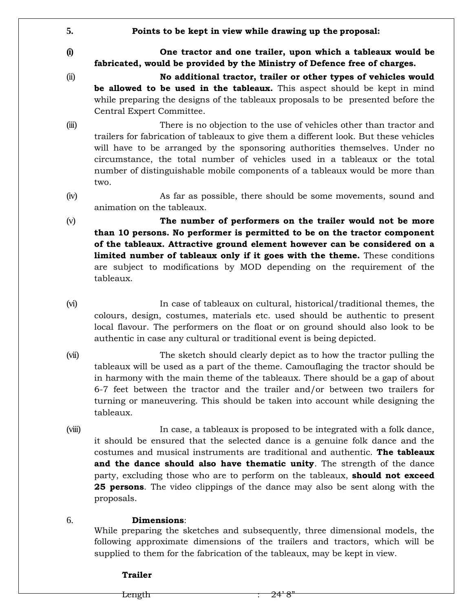**5. Points to be kept in view while drawing up the proposal:**

**(i) One tractor and one trailer, upon which a tableaux would be fabricated, would be provided by the Ministry of Defence free of charges.**

- (ii) **No additional tractor, trailer or other types of vehicles would be allowed to be used in the tableaux.** This aspect should be kept in mind while preparing the designs of the tableaux proposals to be presented before the Central Expert Committee.
- (iii) There is no objection to the use of vehicles other than tractor and trailers for fabrication of tableaux to give them a different look. But these vehicles will have to be arranged by the sponsoring authorities themselves. Under no circumstance, the total number of vehicles used in a tableaux or the total number of distinguishable mobile components of a tableaux would be more than two.
- (iv) As far as possible, there should be some movements, sound and animation on the tableaux.
- (v) **The number of performers on the trailer would not be more than 10 persons. No performer is permitted to be on the tractor component of the tableaux. Attractive ground element however can be considered on a limited number of tableaux only if it goes with the theme.** These conditions are subject to modifications by MOD depending on the requirement of the tableaux.
- (vi) In case of tableaux on cultural, historical/traditional themes, the colours, design, costumes, materials etc. used should be authentic to present local flavour. The performers on the float or on ground should also look to be authentic in case any cultural or traditional event is being depicted.
- (vii) The sketch should clearly depict as to how the tractor pulling the tableaux will be used as a part of the theme. Camouflaging the tractor should be in harmony with the main theme of the tableaux. There should be a gap of about 6-7 feet between the tractor and the trailer and/or between two trailers for turning or maneuvering. This should be taken into account while designing the tableaux.
- (viii) In case, a tableaux is proposed to be integrated with a folk dance, it should be ensured that the selected dance is a genuine folk dance and the costumes and musical instruments are traditional and authentic. **The tableaux and the dance should also have thematic unity**. The strength of the dance party, excluding those who are to perform on the tableaux, **should not exceed 25 persons**. The video clippings of the dance may also be sent along with the proposals.

# 6. **Dimensions**:

While preparing the sketches and subsequently, three dimensional models, the following approximate dimensions of the trailers and tractors, which will be supplied to them for the fabrication of the tableaux, may be kept in view.

## **Trailer**

Length  $\overline{24'8}$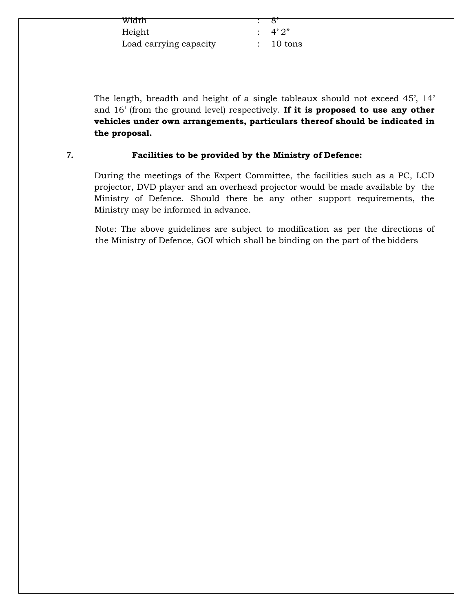| Width                  |                     |
|------------------------|---------------------|
| Height                 | $\cdot$ 4' 2"       |
| Load carrying capacity | $: 10 \text{ tons}$ |

The length, breadth and height of a single tableaux should not exceed 45', 14' and 16' (from the ground level) respectively. **If it is proposed to use any other vehicles under own arrangements, particulars thereof should be indicated in the proposal.**

## **7. Facilities to be provided by the Ministry of Defence:**

During the meetings of the Expert Committee, the facilities such as a PC, LCD projector, DVD player and an overhead projector would be made available by the Ministry of Defence. Should there be any other support requirements, the Ministry may be informed in advance.

Note: The above guidelines are subject to modification as per the directions of the Ministry of Defence, GOI which shall be binding on the part of the bidders